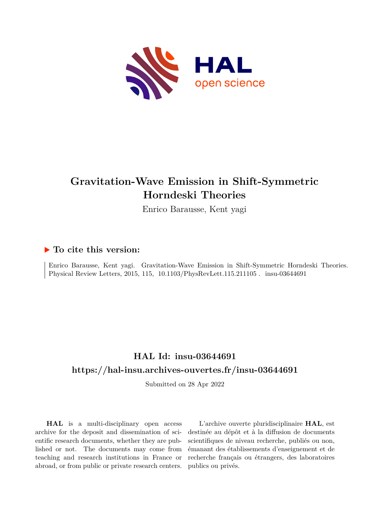

## **Gravitation-Wave Emission in Shift-Symmetric Horndeski Theories**

Enrico Barausse, Kent yagi

## **To cite this version:**

Enrico Barausse, Kent yagi. Gravitation-Wave Emission in Shift-Symmetric Horndeski Theories. Physical Review Letters, 2015, 115, 10.1103/PhysRevLett.115.211105. insu-03644691

## **HAL Id: insu-03644691 <https://hal-insu.archives-ouvertes.fr/insu-03644691>**

Submitted on 28 Apr 2022

**HAL** is a multi-disciplinary open access archive for the deposit and dissemination of scientific research documents, whether they are published or not. The documents may come from teaching and research institutions in France or abroad, or from public or private research centers.

L'archive ouverte pluridisciplinaire **HAL**, est destinée au dépôt et à la diffusion de documents scientifiques de niveau recherche, publiés ou non, émanant des établissements d'enseignement et de recherche français ou étrangers, des laboratoires publics ou privés.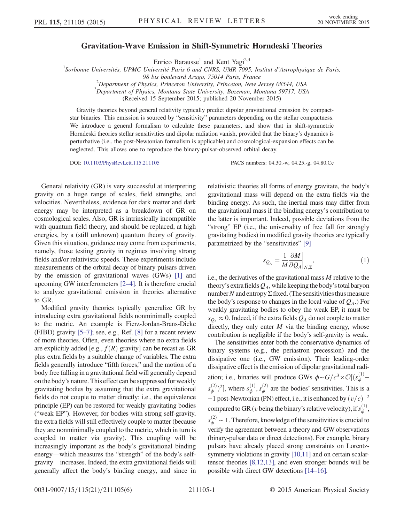## Gravitation-Wave Emission in Shift-Symmetric Horndeski Theories

Enrico Barausse<sup>1</sup> and Kent Yagi<sup>2,3</sup>

 $^1$ Sorbonne Universités, UPMC Université Paris 6 and CNRS, UMR 7095, Institut d'Astrophysique de Paris,

 $^{2}$ Department of Physics, Princeton University, Princeton, New Jersey 08544, USA

 $3$ Department of Physics, Montana State University, Bozeman, Montana 59717, USA

(Received 15 September 2015; published 20 November 2015)

Gravity theories beyond general relativity typically predict dipolar gravitational emission by compactstar binaries. This emission is sourced by "sensitivity" parameters depending on the stellar compactness. We introduce a general formalism to calculate these parameters, and show that in shift-symmetric Horndeski theories stellar sensitivities and dipolar radiation vanish, provided that the binary's dynamics is perturbative (i.e., the post-Newtonian formalism is applicable) and cosmological-expansion effects can be neglected. This allows one to reproduce the binary-pulsar-observed orbital decay.

DOI: [10.1103/PhysRevLett.115.211105](http://dx.doi.org/10.1103/PhysRevLett.115.211105) PACS numbers: 04.30.-w, 04.25.-g, 04.80.Cc

General relativity (GR) is very successful at interpreting gravity on a huge range of scales, field strengths, and velocities. Nevertheless, evidence for dark matter and dark energy may be interpreted as a breakdown of GR on cosmological scales. Also, GR is intrinsically incompatible with quantum field theory, and should be replaced, at high energies, by a (still unknown) quantum theory of gravity. Given this situation, guidance may come from experiments, namely, those testing gravity in regimes involving strong fields and/or relativistic speeds. These experiments include measurements of the orbital decay of binary pulsars driven by the emission of gravitational waves (GWs) [1] and upcoming GW interferometers [2–4]. It is therefore crucial to analyze gravitational emission in theories alternative to GR.

Modified gravity theories typically generalize GR by introducing extra gravitational fields nonminimally coupled to the metric. An example is Fierz-Jordan-Brans-Dicke (FJBD) gravity [5–7]; see, e.g., Ref. [8] for a recent review of more theories. Often, even theories where no extra fields are explicitly added [e.g.,  $f(R)$  gravity] can be recast as GR plus extra fields by a suitable change of variables. The extra fields generally introduce "fifth forces," and the motion of a body free falling in a gravitational field will generally depend on the body's nature. This effect can be suppressed for weakly gravitating bodies by assuming that the extra gravitational fields do not couple to matter directly; i.e., the equivalence principle (EP) can be restored for weakly gravitating bodies ("weak EP"). However, for bodies with strong self-gravity, the extra fields will still effectively couple to matter (because they are nonminimally coupled to the metric, which in turn is coupled to matter via gravity). This coupling will be increasingly important as the body's gravitational binding energy—which measures the "strength" of the body's selfgravity—increases. Indeed, the extra gravitational fields will generally affect the body's binding energy, and since in relativistic theories all forms of energy gravitate, the body's gravitational mass will depend on the extra fields via the binding energy. As such, the inertial mass may differ from the gravitational mass if the binding energy's contribution to the latter is important. Indeed, possible deviations from the "strong" EP (i.e., the universality of free fall for strongly gravitating bodies) in modified gravity theories are typically parametrized by the "sensitivities" [9]

$$
s_{Q_A} = \frac{1}{M} \frac{\partial M}{\partial Q_A} \bigg|_{N,\Sigma}, \tag{1}
$$

i.e., the derivatives of the gravitational mass  $M$  relative to the theory's extra fields  $Q_A$ , while keeping the body's total baryon number N and entropy Σ fixed. (The sensitivities thus measure the body's response to changes in the local value of  $Q_A$ .) For weakly gravitating bodies to obey the weak EP, it must be  $s_{Q_A} \approx 0$ . Indeed, if the extra fields  $Q_A$  do not couple to matter directly, they only enter  $M$  via the binding energy, whose contribution is negligible if the body's self-gravity is weak.

The sensitivities enter both the conservative dynamics of binary systems (e.g., the periastron precession) and the dissipative one (i.e., GW emission). Their leading-order dissipative effect is the emission of dipolar gravitational radiation; i.e., binaries will produce GWs  $\phi \sim G/c^3 \times \mathcal{O}[(s_\phi^{(1)}$  $s_{\phi}^{(2)}$ )<sup>2</sup>], where  $s_{\phi}^{(1)}$ ,  $s_{\phi}^{(2)}$  are the bodies' sensitivities. This is a  $-1$  post-Newtonian (PN) effect, i.e., it is enhanced by  $(v/c)^{-2}$ compared to GR (*v* being the binary's relative velocity), if  $s_{\phi}^{(1)}$ ,  $s_{\phi}^{(2)} \sim 1$ . Therefore, knowledge of the sensitivities is crucial to verify the agreement between a theory and GW observations (binary-pulsar data or direct detections). For example, binary pulsars have already placed strong constraints on Lorentzsymmetry violations in gravity [10,11] and on certain scalartensor theories [8,12,13], and even stronger bounds will be possible with direct GW detections [14–16].

<sup>98</sup> bis boulevard Arago, 75014 Paris, France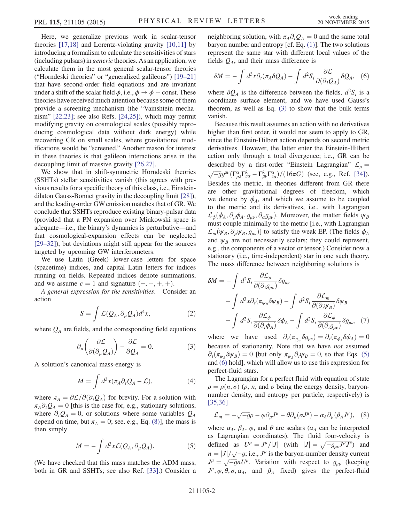Here, we generalize previous work in scalar-tensor theories [17,18] and Lorentz-violating gravity [10,11] by introducing a formalism to calculate the sensitivities of stars (including pulsars) in generic theories. As an application, we calculate them in the most general scalar-tensor theories ("Horndeski theories" or "generalized galileons") [19–21] that have second-order field equations and are invariant under a shift of the scalar field  $\phi$ , i.e.,  $\phi \rightarrow \phi$  + const. These theories have received much attention because some of them provide a screening mechanism (the "Vainshtein mechanism" [22,23]; see also Refs. [24,25]), which may permit modifying gravity on cosmological scales (possibly reproducing cosmological data without dark energy) while recovering GR on small scales, where gravitational modifications would be "screened." Another reason for interest in these theories is that galileon interactions arise in the decoupling limit of massive gravity [26,27].

We show that in shift-symmetric Horndeski theories (SSHTs) stellar sensitivities vanish (this agrees with previous results for a specific theory of this class, i.e., Einsteindilaton Gauss-Bonnet gravity in the decoupling limit [28]), and the leading-order GW emission matches that of GR. We conclude that SSHTs reproduce existing binary-pulsar data (provided that a PN expansion over Minkowski space is adequate—i.e., the binary's dynamics is perturbative—and that cosmological-expansion effects can be neglected [29–32]), but deviations might still appear for the sources targeted by upcoming GW interferometers.

We use Latin (Greek) lower-case letters for space (spacetime) indices, and capital Latin letters for indices running on fields. Repeated indices denote summations, and we assume  $c = 1$  and signature  $(-, +, +, +)$ .

A general expression for the sensitivities.—Consider an action

$$
S = \int \mathcal{L}(Q_A, \partial_\mu Q_A) d^4x, \tag{2}
$$

where  $Q_A$  are fields, and the corresponding field equations

$$
\partial_{\mu} \left( \frac{\partial \mathcal{L}}{\partial(\partial_{\mu} Q_{A})} \right) - \frac{\partial \mathcal{L}}{\partial Q_{A}} = 0. \tag{3}
$$

A solution's canonical mass-energy is

$$
M = \int d^3x (\pi_A \partial_t Q_A - \mathcal{L}), \tag{4}
$$

where  $\pi_A = \partial \mathcal{L}/\partial(\partial_t Q_A)$  for brevity. For a solution with  $\pi_A \partial_t Q_A = 0$  [this is the case for, e.g., stationary solutions, where  $\partial_t Q_A = 0$ , or solutions where some variables  $Q_A$ depend on time, but  $\pi_A = 0$ ; see, e.g., Eq. (8)], the mass is then simply

$$
M = -\int d^3x \mathcal{L}(Q_A, \partial_\mu Q_A). \tag{5}
$$

(We have checked that this mass matches the ADM mass, both in GR and SSHTs; see also Ref. [33].) Consider a neighboring solution, with  $\pi_A \partial_t Q_A = 0$  and the same total baryon number and entropy [cf. Eq. (1)]. The two solutions represent the same star with different local values of the fields  $Q_A$ , and their mass difference is

$$
\delta M = -\int d^3x \partial_t (\pi_A \delta Q_A) - \int d^2S_i \frac{\partial \mathcal{L}}{\partial (\partial_i Q_A)} \delta Q_A, \quad (6)
$$

where  $\delta Q_A$  is the difference between the fields,  $d^2S_i$  is a coordinate surface element, and we have used Gauss's theorem, as well as Eq. (3) to show that the bulk terms vanish.

Because this result assumes an action with no derivatives higher than first order, it would not seem to apply to GR, since the Einstein-Hilbert action depends on second metric derivatives. However, the latter enter the Einstein-Hilbert action only through a total divergence; i.e., GR can be described by a first-order "Einstein Lagrangian"  $\mathcal{L}_g = \sqrt{-g}g^{\mu\nu}(\Gamma^{\alpha}_{\mu\lambda}\Gamma^{\lambda}_{\nu\alpha}-\Gamma^{\lambda}_{\mu\nu}\Gamma^{\alpha}_{\alpha\alpha})/(16\pi G)$  (see, e.g., Ref. [34]). Besides the metric, in theories different from GR there are other gravitational degrees of freedom, which we denote by  $\phi_A$ , and which we assume to be coupled to the metric and its derivatives, i.e., with Lagrangian  $\mathcal{L}_{\phi}(\phi_A, \partial_{\mu}\phi_A, g_{\mu\nu}, \partial_{\alpha}g_{\mu\nu})$ . Moreover, the matter fields  $\psi_B$ must couple minimally to the metric [i.e., with Lagrangian  $\mathcal{L}_m(\psi_B, \partial_\mu \psi_B, g_{\mu\nu})$ ] to satisfy the weak EP. (The fields  $\phi_A$ and  $\psi_B$  are not necessarily scalars; they could represent, e.g., the components of a vector or tensor.) Consider now a stationary (i.e., time-independent) star in one such theory. The mass difference between neighboring solutions is

$$
\delta M = -\int d^2 S_i \frac{\partial \mathcal{L}_g}{\partial(\partial_i g_{\mu\nu})} \delta g_{\mu\nu} -\int d^3 x \partial_t (\pi_{\psi_B} \delta \psi_B) - \int d^2 S_i \frac{\partial \mathcal{L}_m}{\partial(\partial_i \psi_B)} \delta \psi_B -\int d^2 S_i \frac{\partial \mathcal{L}_\phi}{\partial(\partial_i \phi_A)} \delta \phi_A - \int d^2 S_i \frac{\partial \mathcal{L}_\phi}{\partial(\partial_i g_{\mu\nu})} \delta g_{\mu\nu}, \tag{7}
$$

where we have used  $\partial_t(\pi_{g_{\mu\nu}}\delta g_{\mu\nu}) = \partial_t(\pi_{\phi_A}\delta\phi_A) = 0$ because of stationarity. Note that we have not assumed  $\partial_t(\pi_{\psi_B} \delta \psi_B) = 0$  [but only  $\pi_{\psi_B} \partial_t \psi_B = 0$ , so that Eqs. (5) and (6) hold], which will allow us to use this expression for perfect-fluid stars.

The Lagrangian for a perfect fluid with equation of state  $\rho = \rho(n, \sigma)$  ( $\rho$ , n, and  $\sigma$  being the energy density, baryonnumber density, and entropy per particle, respectively) is [35,36]

$$
\mathcal{L}_m = -\sqrt{-g}\rho - \varphi \partial_\mu J^\mu - \theta \partial_\mu (\sigma J^\mu) - \alpha_A \partial_\mu (\beta_A J^\mu), \quad (8)
$$

where  $\alpha_A$ ,  $\beta_A$ ,  $\varphi$ , and  $\theta$  are scalars ( $\alpha_A$  can be interpreted as Lagrangian coordinates). The fluid four-velocity is defined as  $U^{\mu} = J^{\mu}/|J|$  (with  $|J| = \sqrt{-g_{\mu\nu}J^{\mu}J^{\nu}}$ ) and  $g = |J|/|\sqrt{-g}$ ; i.e.  $J^{\mu}$  is the beyon number density current  $n = |J|/\sqrt{-g}$ ; i.e.,  $J^{\mu}$  is the baryon-number density current  $J^{\mu} = \sqrt{-g}nI^{\mu}$ . Variation, with respect to a (keeping  $J^{\mu} = \sqrt{-g}nU^{\mu}$ . Variation with respect to  $g_{\mu\nu}$  (keeping  $J^{\mu}$  as  $\theta$  or  $\alpha$  and  $\beta$  fixed) gives the perfect fluid  $J^{\mu}, \varphi, \theta, \sigma, \alpha_A$ , and  $\beta_A$  fixed) gives the perfect-fluid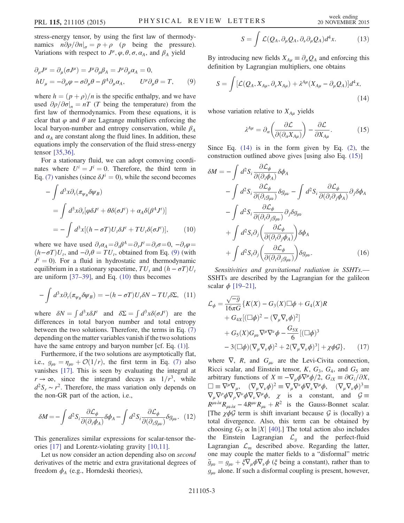stress-energy tensor, by using the first law of thermodynamics  $n\partial \rho/\partial n|_{\sigma} = p + \rho$  (*p* being the pressure). Variations with respect to  $J^{\mu}, \varphi, \theta, \sigma, \alpha_A$ , and  $\beta_A$  yield

$$
\partial_{\mu}J^{\mu} = \partial_{\mu}(\sigma J^{\mu}) = J^{\mu}\partial_{\mu}\beta_{A} = J^{\mu}\partial_{\mu}\alpha_{A} = 0,
$$
  
\n
$$
hU_{\mu} = -\partial_{\mu}\varphi - \sigma\partial_{\mu}\theta - \beta^{A}\partial_{\mu}\alpha_{A}, \qquad U^{\mu}\partial_{\mu}\theta = T,
$$
 (9)

where  $h = (p + \rho)/n$  is the specific enthalpy, and we have used  $\partial \rho / \partial \sigma |_{n} = nT$  (T being the temperature) from the first law of thermodynamics. From these equations, it is clear that  $\varphi$  and  $\theta$  are Lagrange multipliers enforcing the local baryon-number and entropy conservation, while  $\beta_A$ and  $\alpha_A$  are constant along the fluid lines. In addition, these equations imply the conservation of the fluid stress-energy tensor [35,36].

For a stationary fluid, we can adopt comoving coordinates where  $U^i = J^i = 0$ . Therefore, the third term in Eq. (7) vanishes (since  $\delta J^i = 0$ ), while the second becomes

$$
-\int d^3x \partial_t (\pi_{\psi_B} \delta \psi_B)
$$
  
= 
$$
\int d^3x \partial_t [\varphi \delta J^t + \theta \delta(\sigma J^t) + \alpha_A \delta(\beta^A J^t)]
$$
  
= 
$$
-\int d^3x [(h - \sigma T)U_t \delta J^t + TU_t \delta(\sigma J^t)], \qquad (10)
$$

where we have used  $\partial_t \alpha_A = \partial_t \beta^A = \partial_t J^t = \partial_t \sigma = 0, -\partial_t \varphi = 0$  $(h-\sigma T)U_t$ , and  $-\partial_t\theta = TU_t$ , obtained from Eq. (9) (with  $J^{i} = 0$ ). For a fluid in hydrostatic and thermodynamic equilibrium in a stationary spacetime,  $TU_t$  and  $(h - \sigma T)U_t$ are uniform [37–39], and Eq. (10) thus becomes

$$
-\int d^3x \partial_t (\pi_{\psi_B} \delta \psi_B) = -(h - \sigma T) U_t \delta N - T U_t \delta \Sigma, \quad (11)
$$

where  $\delta N = \int d^3x \delta J'$  and  $\delta \Sigma = \int d^3x \delta (\sigma J')$  are the differences in total baryon number and total entropy differences in total baryon number and total entropy between the two solutions. Therefore, the terms in Eq. (7) depending on the matter variables vanish if the two solutions have the same entropy and baryon number [cf. Eq. (1)].

Furthermore, if the two solutions are asymptotically flat, i.e.,  $g_{\mu\nu} = \eta_{\mu\nu} + \mathcal{O}(1/r)$ , the first term in Eq. (7) also vanishes [17]. This is seen by evaluating the integral at  $r \to \infty$ , since the integrand decays as  $1/r^3$ , while  $d^2S_r \sim r^2$ . Therefore, the mass variation only depends on the non-GR part of the action, i.e.,

$$
\delta M = -\int d^2 S_i \frac{\partial \mathcal{L}_{\phi}}{\partial (\partial_i \phi_A)} \delta \phi_A - \int d^2 S_i \frac{\partial \mathcal{L}_{\phi}}{\partial (\partial_i g_{\mu\nu})} \delta g_{\mu\nu}.
$$
 (12)

This generalizes similar expressions for scalar-tensor theories [17] and Lorentz-violating gravity [10,11].

Let us now consider an action depending also on *second* derivatives of the metric and extra gravitational degrees of freedom  $\phi_A$  (e.g., Horndeski theories),

$$
S = \int \mathcal{L}(Q_A, \partial_\mu Q_A, \partial_\nu \partial_\mu Q_A) d^4x. \tag{13}
$$

By introducing new fields  $X_{Au} \equiv \partial_u Q_A$  and enforcing this definition by Lagrangian multipliers, one obtains

$$
S = \int [\mathcal{L}(Q_A, X_{A\mu}, \partial_\nu X_{A\mu}) + \lambda^{A\mu} (X_{A\mu} - \partial_\mu Q_A)] d^4x,
$$
\n(14)

whose variation relative to  $X_{Au}$  yields

$$
\lambda^{A\mu} = \partial_{\alpha} \left( \frac{\partial \mathcal{L}}{\partial(\partial_{\alpha} X_{A\mu})} \right) - \frac{\partial \mathcal{L}}{\partial X_{A\mu}}.
$$
 (15)

Since Eq.  $(14)$  is in the form given by Eq.  $(2)$ , the construction outlined above gives [using also Eq. (15)]

$$
\delta M = -\int d^2 S_i \frac{\partial \mathcal{L}_{\phi}}{\partial(\partial_i \phi_A)} \delta \phi_A \n- \int d^2 S_i \frac{\partial \mathcal{L}_{\phi}}{\partial(\partial_i g_{\mu\nu})} \delta g_{\mu\nu} - \int d^2 S_i \frac{\partial \mathcal{L}_{\phi}}{\partial(\partial_i \partial_j \phi_A)} \partial_j \delta \phi_A \n- \int d^2 S_i \frac{\partial \mathcal{L}_{\phi}}{\partial(\partial_i \partial_j g_{\mu\nu})} \partial_j \delta g_{\mu\nu} \n+ \int d^2 S_i \partial_j \left( \frac{\partial \mathcal{L}_{\phi}}{\partial(\partial_i \partial_j \phi_A)} \right) \delta \phi_A \n+ \int d^2 S_i \partial_j \left( \frac{\partial \mathcal{L}_{\phi}}{\partial(\partial_i \partial_j g_{\mu\nu})} \right) \delta g_{\mu\nu}.
$$
\n(16)

Sensitivities and gravitational radiation in SSHTs.— SSHTs are described by the Lagrangian for the galileon scalar  $\phi$  [19–21],

$$
\mathcal{L}_{\phi} = \frac{\sqrt{-g}}{16\pi G} \{ K(X) - G_3(X) \Box \phi + G_4(X)R \n+ G_{4X} [(\Box \phi)^2 - (\nabla_{\mu} \nabla_{\nu} \phi)^2] \n+ G_5(X) G_{\mu\nu} \nabla^{\mu} \nabla^{\nu} \phi - \frac{G_{5X}}{6} [(\Box \phi)^3 \n- 3(\Box \phi) (\nabla_{\mu} \nabla_{\nu} \phi)^2 + 2(\nabla_{\mu} \nabla_{\nu} \phi)^3] + \chi \phi \mathcal{G} \}, \quad (17)
$$

where  $\nabla$ , R, and  $G_{\mu\nu}$  are the Levi-Civita connection, Ricci scalar, and Einstein tensor,  $K$ ,  $G_3$ ,  $G_4$ , and  $G_5$  are arbitrary functions of  $X \equiv -\nabla_{\mu} \phi \nabla^{\mu} \phi / 2$ ,  $G_{iX} \equiv \partial G_i / \partial X$ ,  $\square \equiv \nabla^{\mu} \nabla_{\mu}, \quad (\nabla_{\mu} \nabla_{\nu} \phi)^{2} \equiv \nabla_{\mu} \nabla^{\nu} \phi \nabla_{\nu} \nabla^{\mu} \phi, \quad (\nabla_{\mu} \nabla_{\nu} \phi)^{3} \equiv$  $\nabla_{\mu}\nabla^{\rho}\phi\nabla_{\rho}\nabla^{\nu}\phi\nabla_{\nu}\nabla^{\mu}\phi$ ,  $\chi$  is a constant, and  $\mathcal{G} \equiv$  $R^{\mu\nu\lambda\kappa}R_{\mu\nu\lambda\kappa} - 4R^{\mu\nu}R_{\mu\nu} + R^2$  is the Gauss-Bonnet scalar. [The  $\chi \phi \mathcal{G}$  term is shift invariant because  $\mathcal{G}$  is (locally) a total divergence. Also, this term can be obtained by choosing  $G_5 \propto \ln |X|$  [40].] The total action also includes the Einstein Lagrangian  $\mathcal{L}_q$  and the perfect-fluid Lagrangian  $\mathcal{L}_m$  described above. Regarding the latter, one may couple the matter fields to a "disformal" metric  $\tilde{g}_{\mu\nu} = g_{\mu\nu} + \xi \nabla_{\mu} \phi \nabla_{\nu} \phi$  ( $\xi$  being a constant), rather than to  $g_{\mu\nu}$  alone. If such a disformal coupling is present, however,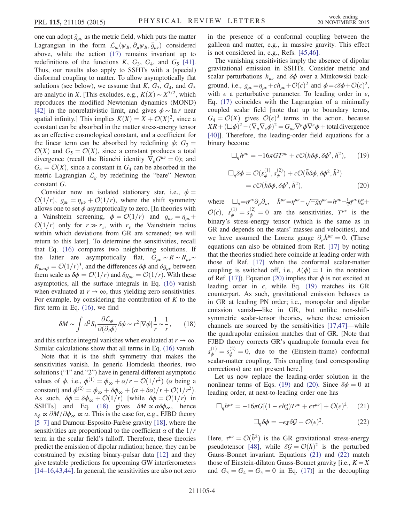one can adopt  $\tilde{g}_{\mu\nu}$  as the metric field, which puts the matter Lagrangian in the form  $\mathcal{L}_m(\psi_B, \partial_\mu \psi_B, \tilde{g}_{\mu\nu})$  considered above, while the action (17) remains invariant up to redefinitions of the functions  $K$ ,  $G_3$ ,  $G_4$ , and  $G_5$  [41]. Thus, our results also apply to SSHTs with a (special) disformal coupling to matter. To allow asymptotically flat solutions (see below), we assume that  $K$ ,  $G_3$ ,  $G_4$ , and  $G_5$ are analytic in X. [This excludes, e.g.,  $K(X) \sim X^{3/2}$ , which reproduces the modified Newtonian dynamics (MOND) [42] in the nonrelativistic limit, and gives  $\phi \sim \ln r$  near spatial infinity.] This implies  $K(X) = X + \mathcal{O}(X)^2$ , since a constant can be absorbed in the matter stress-energy tensor as an effective cosmological constant, and a coefficient for the linear term can be absorbed by redefining  $\phi$ ;  $G_3$  =  $\mathcal{O}(X)$  and  $G_5 = \mathcal{O}(X)$ , since a constant produces a total divergence (recall the Bianchi identity  $\nabla_{\mu}G^{\mu\nu} = 0$ ); and  $G_4 = \mathcal{O}(X)$ , since a constant in  $G_4$  can be absorbed in the metric Lagrangian  $\mathcal{L}_q$  by redefining the "bare" Newton constant G.

Consider now an isolated stationary star, i.e.,  $\phi =$  $\mathcal{O}(1/r)$ ,  $g_{\mu\nu} = \eta_{\mu\nu} + \mathcal{O}(1/r)$ , where the shift symmetry allows one to set  $\phi$  asymptotically to zero. [In theories with a Vainshtein screening,  $\phi = \mathcal{O}(1/r)$  and  $g_{\mu\nu} = \eta_{\mu\nu} +$  $\mathcal{O}(1/r)$  only for  $r \gg r_v$ , with  $r_v$  the Vainshtein radius within which deviations from GR are screened; we will return to this later]. To determine the sensitivities, recall that Eq. (16) compares two neighboring solutions. If the latter are asymptotically flat,  $G_{\mu\nu} \sim R \sim R_{\mu\nu} \sim$  $R_{\mu\nu\alpha\beta} = \mathcal{O}(1/r)^3$ , and the differences  $\delta\phi$  and  $\delta g_{\mu\nu}$  between them scale as  $\delta \phi = \mathcal{O}(1/r)$  and  $\delta g_{\mu\nu} = \mathcal{O}(1/r)$ . With these asymptotics, all the surface integrals in Eq. (16) vanish when evaluated at  $r \to \infty$ , thus yielding zero sensitivities. For example, by considering the contribution of  $K$  to the first term in Eq. (16), we find

$$
\delta M \sim \int d^2 S_i \frac{\partial \mathcal{L}_{\phi}}{\partial(\partial_i \phi)} \delta \phi \sim r^2 |\nabla \phi| \frac{1}{r} \sim \frac{1}{r},\qquad(18)
$$

and this surface integral vanishes when evaluated at  $r \to \infty$ . Similar calculations show that all terms in Eq. (16) vanish.

Note that it is the shift symmetry that makes the sensitivities vanish. In generic Horndeski theories, two solutions ("1" and "2") have in general different asymptotic values of  $\phi$ , i.e.,  $\phi^{(1)} = \phi_{\infty} + \alpha/r + \mathcal{O}(1/r^2)$  ( $\alpha$  being a constant) and  $\phi^{(2)} = \phi_{\infty} + \delta \phi_{\infty} + (\alpha + \delta \alpha)/r + \mathcal{O}(1/r^2)$ . As such,  $\delta \phi = \delta \phi_{\infty} + \mathcal{O}(1/r)$  [while  $\delta \phi = \mathcal{O}(1/r)$  in SSHTs] and Eq. (18) gives  $\delta M \propto \alpha \delta \phi_{\infty}$ , hence  $s_{\phi} \propto \partial M/\partial \phi_{\infty} \propto \alpha$ . This is the case for, e.g., FJBD theory [5–7] and Damour-Esposito-Farèse gravity [18], where the sensitivities are proportional to the coefficient  $\alpha$  of the  $1/r$ term in the scalar field's falloff. Therefore, these theories predict the emission of dipolar radiation; hence, they can be constrained by existing binary-pulsar data [12] and they give testable predictions for upcoming GW interferometers [14–16,43,44]. In general, the sensitivities are also not zero in the presence of a conformal coupling between the galileon and matter, e.g., in massive gravity. This effect is not considered in, e.g., Refs. [45,46].

The vanishing sensitivities imply the absence of dipolar gravitational emission in SSHTs. Consider metric and scalar perturbations  $h_{\mu\nu}$  and  $\delta\phi$  over a Minkowski background, i.e.,  $g_{\mu\nu} = \eta_{\mu\nu} + \epsilon h_{\mu\nu} + \mathcal{O}(\epsilon)^2$  and  $\phi = \epsilon \delta \phi + \mathcal{O}(\epsilon)^2$ , with  $\epsilon$  a perturbative parameter. To leading order in  $\epsilon$ , Eq. (17) coincides with the Lagrangian of a minimally coupled scalar field [note that up to boundary terms,  $G_4 = \mathcal{O}(X)$  gives  $\mathcal{O}(\epsilon)^3$  terms in the action, because  $XR+(\Box\phi)^2-(\nabla_\mu\nabla_\nu\phi)^2=G_{\mu\nu}\nabla^\mu\phi\nabla^\nu\phi+$  total divergence [40]]. Therefore, the leading-order field equations for a binary become

$$
\Box_{\eta} \bar{h}^{\mu\nu} = -16\pi G T^{\mu\nu} + \epsilon \mathcal{O}(\bar{h}\delta\phi, \delta\phi^2, \bar{h}^2), \qquad (19)
$$

$$
\Box_{\eta}\delta\phi = \mathcal{O}(s_{\phi}^{(1)}, s_{\phi}^{(2)}) + \epsilon \mathcal{O}(\bar{h}\delta\phi, \delta\phi^2, \bar{h}^2)
$$
  
=  $\epsilon \mathcal{O}(\bar{h}\delta\phi, \delta\phi^2, \bar{h}^2),$  (20)

where  $\Box_{\eta} = \eta^{\mu\nu} \partial_{\mu} \partial_{\nu}$ ,  $\bar{h}^{\mu\nu} = \eta^{\mu\nu} - \sqrt{-g} g^{\mu\nu} = h^{\mu\nu} - \frac{1}{2} \eta^{\mu\nu} h^{\alpha}_{\alpha} +$  $\mathcal{O}(\epsilon)$ ,  $s_{\phi}^{(1)} = s_{\phi}^{(2)} = 0$  are the sensitivities,  $T^{\mu\nu}$  is the binary's stress-energy tensor (which is the same as in GR and depends on the stars' masses and velocities), and we have assumed the Lorenz gauge  $\partial_{\mu} \bar{h}^{\mu\nu} = 0$ . (These equations can also be obtained from Ref. [17] by noting that the theories studied here coincide at leading order with those of Ref. [17] when the conformal scalar-matter coupling is switched off, i.e.,  $A(\phi) = 1$  in the notation of Ref. [17]). Equation (20) implies that  $\phi$  is not excited at leading order in  $\epsilon$ , while Eq. (19) matches its GR counterpart. As such, gravitational emission behaves as in GR at leading PN order; i.e., monopolar and dipolar emission vanish—like in GR, but unlike non-shiftsymmetric scalar-tensor theories, where these emission channels are sourced by the sensitivities [17,47]—while the quadrupolar emission matches that of GR. [Note that FJBD theory corrects GR's quadrupole formula even for  $s_{\phi}^{(1)} = s_{\phi}^{(2)} = 0$ , due to the (Einstein-frame) conformal scalar-matter coupling. This coupling (and corresponding corrections) are not present here.]

Let us now replace the leading-order solution in the nonlinear terms of Eqs. (19) and (20). Since  $\delta \phi = 0$  at leading order, at next-to-leading order one has

$$
\Box_{\eta} \bar{h}^{\mu\nu} = -16\pi G [(1 - \epsilon \bar{h}^{\alpha}_{\alpha}) T^{\mu\nu} + \epsilon \tau^{\mu\nu}] + \mathcal{O}(\epsilon)^2, \quad (21)
$$

$$
\Box_{\eta} \delta \phi = -\epsilon \chi \delta \mathcal{G} + \mathcal{O}(\epsilon)^2. \tag{22}
$$

Here,  $\tau^{\mu\nu} = \mathcal{O}(\bar{h}^2)$  is the GR gravitational stress-energy pseudotensor [48], while  $\delta \mathcal{G} = \mathcal{O}(\bar{h})^2$  is the perturbed Gauss-Bonnet invariant. Equations (21) and (22) match those of Einstein-dilaton Gauss-Bonnet gravity [i.e.,  $K = X$ and  $G_3 = G_4 = G_5 = 0$  in Eq. (17)] in the decoupling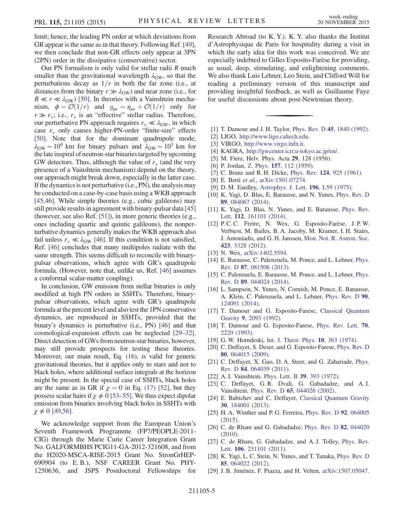limit; hence, the leading PN order at which deviations from GR appear is the same as in that theory. Following Ref. [49], we then conclude that non-GR effects only appear at 3PN (2PN) order in the dissipative (conservative) sector.

Our PN formalism is only valid for stellar radii  *much* smaller than the gravitational wavelength  $\lambda_{GW}$ , so that the perturbations decay as  $1/r$  in both the far zone (i.e., at distances from the binary  $r \gg \lambda_{GW}$ ) and near zone (i.e., for  $R \ll r \ll \lambda_{\rm GW}$ ) [50]. In theories with a Vainshtein mechanism,  $\phi = \mathcal{O}(1/r)$  and  $g_{\mu\nu} = \eta_{\mu\nu} + \mathcal{O}(1/r)$  only for  $r \gg r_v$ ; i.e.,  $r_v$  is an "effective" stellar radius. Therefore, our perturbative PN approach requires  $r_v \ll \lambda_{\rm GW}$ , in which case  $r_v$  only causes higher-PN-order "finite-size" effects [50]. Note that for the dominant quadrupole mode,  $\lambda_{\rm GW} \sim 10^9$  km for binary pulsars and  $\lambda_{\rm GW} \sim 10^3$  km for the late inspiral of neutron-star binaries targeted by upcoming GW detectors. Thus, although the value of  $r<sub>v</sub>$  (and the very presence of a Vainshtein mechanism) depend on the theory, our approach might break down, especially in the latter case. If the dynamics is not perturbative (i.e., PN), the analysis may be conducted on a case-by-case basis using a WKB approach [45,46]. While simple theories (e.g., cubic galileons) may still provide results in agreement with binary-pulsar data [45] (however, see also Ref. [51]), in more generic theories (e.g., ones including quartic and quintic galileons), the nonperturbative dynamics generally makes the WKB approach also fail unless  $r_v \ll \lambda_{\rm GW}$  [46]. If this condition is not satisfied, Ref. [46] concludes that many multipoles radiate with the same strength. This seems difficult to reconcile with binarypulsar observations, which agree with GR's quadrupole formula. (However, note that, unlike us, Ref. [46] assumes a conformal scalar-matter coupling).

In conclusion, GW emission from stellar binaries is only modified at high PN orders in SSHTs. Therefore, binarypulsar observations, which agree with GR's quadrupole formula at the percent level and also test the 1PN conservative dynamics, are reproduced in SSHTs, provided that the binary's dynamics is perturbative (i.e., PN) [46] and that cosmological-expansion effects can be neglected [29–32]. Direct detection of GWs from neutron-star binaries, however, may still provide prospects for testing these theories. Moreover, our main result, Eq. (16), is valid for generic gravitational theories, but it applies only to stars and not to black holes, where additional surface integrals at the horizon might be present. In the special case of SSHTs, black holes are the same as in GR if  $\chi = 0$  in Eq. (17) [52], but they possess scalar hairs if  $\chi \neq 0$  [53–55]. We thus expect dipolar emission from binaries involving black holes in SSHTs with  $\chi \neq 0$  [49,56].

We acknowledge support from the European Union's Seventh Framework Programme (FP7/PEOPLE-2011- CIG) through the Marie Curie Career Integration Grant No. GALFORMBHS PCIG11-GA-2012-321608, and from the H2020-MSCA-RISE-2015 Grant No. StronGrHEP-690904 (to E. B.), NSF CAREER Grant No. PHY-1250636, and JSPS Postdoctoral Fellowships for Research Abroad (to K. Y.). K. Y. also thanks the Institut d'Astrophysique de Paris for hospitality during a visit in which the early idea for this work was conceived. We are especially indebted to Gilles Esposito-Farèse for providing, as usual, deep, stimulating, and enlightening comments. We also thank Luis Lehner, Leo Stein, and Clifford Will for reading a preliminary version of this manuscript and providing insightful feedback, as well as Guillaume Faye for useful discussions about post-Newtonian theory.

- [1] T. Damour and J. H. Taylor, *Phys. Rev. D* **45**[, 1840 \(1992\).](http://dx.doi.org/10.1103/PhysRevD.45.1840)
- [2] LIGO, <http://www.ligo.caltech.edu>.
- [3] VIRGO, [http://www.virgo.infn.it.](http://www.virgo.infn.it)
- [4] KAGRA, [http://gwcenter.icrr.u](http://gwcenter.icrr.u-tokyo.ac.jp/en/)-tokyo.ac.jp/en/.
- [5] M. Fierz, Helv. Phys. Acta **29**, 128 (1956).
- [6] P. Jordan, Z. Phys. **157**[, 112 \(1959\).](http://dx.doi.org/10.1007/BF01375155)
- [7] C. Brans and R. H. Dicke, *Phys. Rev.* **124**[, 925 \(1961\)](http://dx.doi.org/10.1103/PhysRev.124.925).
- [8] E. Berti et al., [arXiv:1501.07274.](http://arXiv.org/abs/1501.07274)
- [9] D. M. Eardley, [Astrophys. J. Lett.](http://dx.doi.org/10.1086/181744) 196, L59 (1975).
- [10] K. Yagi, D. Blas, E. Barausse, and N. Yunes, [Phys. Rev. D](http://dx.doi.org/10.1103/PhysRevD.89.084067) 89[, 084067 \(2014\).](http://dx.doi.org/10.1103/PhysRevD.89.084067)
- [11] K. Yagi, D. Blas, N. Yunes, and E. Barausse, *[Phys. Rev.](http://dx.doi.org/10.1103/PhysRevLett.112.161101)* Lett. 112[, 161101 \(2014\)](http://dx.doi.org/10.1103/PhysRevLett.112.161101).
- [12] P. C. C. Freire, N. Wex, G. Esposito-Farèse, J. P. W. Verbiest, M. Bailes, B. A. Jacoby, M. Kramer, I. H. Stairs, J. Antoniadis, and G. H. Janssen, [Mon. Not. R. Astron. Soc.](http://dx.doi.org/10.1111/j.1365-2966.2012.21253.x) 423[, 3328 \(2012\)](http://dx.doi.org/10.1111/j.1365-2966.2012.21253.x).
- [13] N. Wex, [arXiv:1402.5594.](http://arXiv.org/abs/1402.5594)
- [14] E. Barausse, C. Palenzuela, M. Ponce, and L. Lehner, [Phys.](http://dx.doi.org/10.1103/PhysRevD.87.081506) Rev. D 87[, 081506 \(2013\)](http://dx.doi.org/10.1103/PhysRevD.87.081506).
- [15] C. Palenzuela, E. Barausse, M. Ponce, and L. Lehner, [Phys.](http://dx.doi.org/10.1103/PhysRevD.89.044024) Rev. D 89[, 044024 \(2014\)](http://dx.doi.org/10.1103/PhysRevD.89.044024).
- [16] L. Sampson, N. Yunes, N. Cornish, M. Ponce, E. Barausse, A. Klein, C. Palenzuela, and L. Lehner, [Phys. Rev. D](http://dx.doi.org/10.1103/PhysRevD.90.124091) 90, [124091 \(2014\).](http://dx.doi.org/10.1103/PhysRevD.90.124091)
- [17] T. Damour and G. Esposito-Farese, [Classical Quantum](http://dx.doi.org/10.1088/0264-9381/9/9/015) Gravity 9[, 2093 \(1992\).](http://dx.doi.org/10.1088/0264-9381/9/9/015)
- [18] T. Damour and G. Esposito-Farese, [Phys. Rev. Lett.](http://dx.doi.org/10.1103/PhysRevLett.70.2220) **70**, [2220 \(1993\)](http://dx.doi.org/10.1103/PhysRevLett.70.2220).
- [19] G. W. Horndeski, [Int. J. Theor. Phys.](http://dx.doi.org/10.1007/BF01807638) **10**, 363 (1974).
- [20] C. Deffayet, S. Deser, and G. Esposito-Farese, [Phys. Rev. D](http://dx.doi.org/10.1103/PhysRevD.80.064015) 80[, 064015 \(2009\).](http://dx.doi.org/10.1103/PhysRevD.80.064015)
- [21] C. Deffayet, X. Gao, D. A. Steer, and G. Zahariade, [Phys.](http://dx.doi.org/10.1103/PhysRevD.84.064039) Rev. D 84[, 064039 \(2011\)](http://dx.doi.org/10.1103/PhysRevD.84.064039).
- [22] A. I. Vainshtein, [Phys. Lett. B](http://dx.doi.org/10.1016/0370-2693(72)90147-5) 39, 393 (1972).
- [23] C. Deffayet, G. R. Dvali, G. Gabadadze, and A. I. Vainshtein, Phys. Rev. D 65[, 044026 \(2002\).](http://dx.doi.org/10.1103/PhysRevD.65.044026)
- [24] E. Babichev and C. Deffayet, [Classical Quantum Gravity](http://dx.doi.org/10.1088/0264-9381/30/18/184001) 30[, 184001 \(2013\).](http://dx.doi.org/10.1088/0264-9381/30/18/184001)
- [25] H. A. Winther and P. G. Ferreira, [Phys. Rev. D](http://dx.doi.org/10.1103/PhysRevD.92.064005) 92, 064005 [\(2015\).](http://dx.doi.org/10.1103/PhysRevD.92.064005)
- [26] C. de Rham and G. Gabadadze, [Phys. Rev. D](http://dx.doi.org/10.1103/PhysRevD.82.044020) **82**, 044020 [\(2010\).](http://dx.doi.org/10.1103/PhysRevD.82.044020)
- [27] C. de Rham, G. Gabadadze, and A. J. Tolley, [Phys. Rev.](http://dx.doi.org/10.1103/PhysRevLett.106.231101) Lett. **106**[, 231101 \(2011\)](http://dx.doi.org/10.1103/PhysRevLett.106.231101).
- [28] K. Yagi, L. C. Stein, N. Yunes, and T. Tanaka, [Phys. Rev. D](http://dx.doi.org/10.1103/PhysRevD.85.064022) 85[, 064022 \(2012\).](http://dx.doi.org/10.1103/PhysRevD.85.064022)
- [29] J. B. Jiménez, F. Piazza, and H. Velten, [arXiv:1507.05047.](http://arXiv.org/abs/1507.05047)